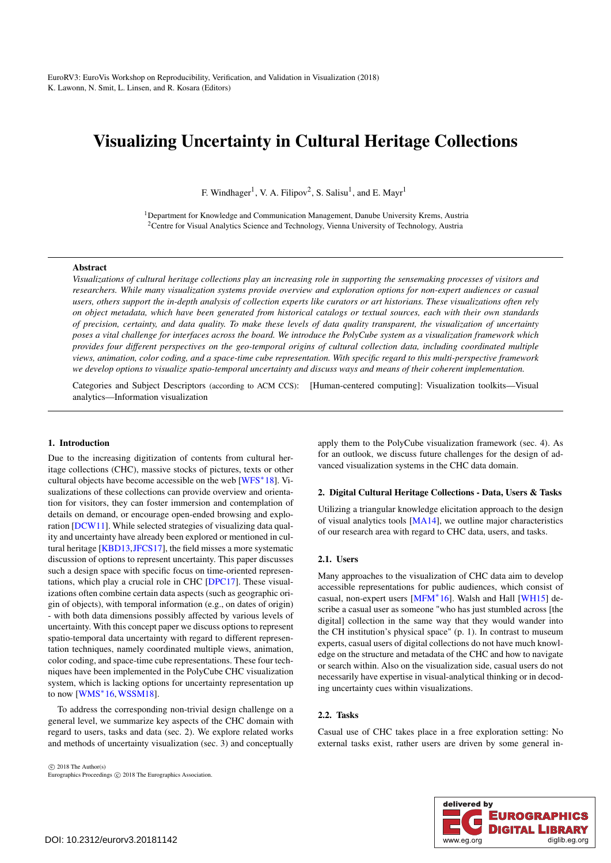# <span id="page-0-0"></span>Visualizing Uncertainty in Cultural Heritage Collections

F. Windhager<sup>1</sup>, V. A. Filipov<sup>2</sup>, S. Salisu<sup>1</sup>, and E. Mayr<sup>1</sup>

<sup>1</sup>Department for Knowledge and Communication Management, Danube University Krems, Austria <sup>2</sup>Centre for Visual Analytics Science and Technology, Vienna University of Technology, Austria

# Abstract

*Visualizations of cultural heritage collections play an increasing role in supporting the sensemaking processes of visitors and researchers. While many visualization systems provide overview and exploration options for non-expert audiences or casual users, others support the in-depth analysis of collection experts like curators or art historians. These visualizations often rely on object metadata, which have been generated from historical catalogs or textual sources, each with their own standards of precision, certainty, and data quality. To make these levels of data quality transparent, the visualization of uncertainty poses a vital challenge for interfaces across the board. We introduce the PolyCube system as a visualization framework which provides four different perspectives on the geo-temporal origins of cultural collection data, including coordinated multiple views, animation, color coding, and a space-time cube representation. With specific regard to this multi-perspective framework we develop options to visualize spatio-temporal uncertainty and discuss ways and means of their coherent implementation.*

Categories and Subject Descriptors (according to ACM CCS): [Human-centered computing]: Visualization toolkits—Visual analytics—Information visualization

# 1. Introduction

Due to the increasing digitization of contents from cultural heritage collections (CHC), massive stocks of pictures, texts or other cultural objects have become accessible on the web [\[WFS](#page-4-0)∗18]. Visualizations of these collections can provide overview and orientation for visitors, they can foster immersion and contemplation of details on demand, or encourage open-ended browsing and exploration [\[DCW11\]](#page-4-1). While selected strategies of visualizing data quality and uncertainty have already been explored or mentioned in cultural heritage [\[KBD13](#page-4-2)[,JFCS17\]](#page-4-3), the field misses a more systematic discussion of options to represent uncertainty. This paper discusses such a design space with specific focus on time-oriented representations, which play a crucial role in CHC [\[DPC17\]](#page-4-4). These visualizations often combine certain data aspects (such as geographic origin of objects), with temporal information (e.g., on dates of origin) - with both data dimensions possibly affected by various levels of uncertainty. With this concept paper we discuss options to represent spatio-temporal data uncertainty with regard to different representation techniques, namely coordinated multiple views, animation, color coding, and space-time cube representations. These four techniques have been implemented in the PolyCube CHC visualization system, which is lacking options for uncertainty representation up to now  $[WMS^*16, WSSM18]$  $[WMS^*16, WSSM18]$  $[WMS^*16, WSSM18]$ .

To address the corresponding non-trivial design challenge on a general level, we summarize key aspects of the CHC domain with regard to users, tasks and data (sec. 2). We explore related works and methods of uncertainty visualization (sec. 3) and conceptually

 $\odot$  2018 The Author(s) Eurographics Proceedings (c) 2018 The Eurographics Association. apply them to the PolyCube visualization framework (sec. 4). As for an outlook, we discuss future challenges for the design of advanced visualization systems in the CHC data domain.

## 2. Digital Cultural Heritage Collections - Data, Users & Tasks

Utilizing a triangular knowledge elicitation approach to the design of visual analytics tools [\[MA14\]](#page-4-7), we outline major characteristics of our research area with regard to CHC data, users, and tasks.

# 2.1. Users

Many approaches to the visualization of CHC data aim to develop accessible representations for public audiences, which consist of casual, non-expert users [\[MFM](#page-4-8)∗16]. Walsh and Hall [\[WH15\]](#page-4-9) describe a casual user as someone "who has just stumbled across [the digital] collection in the same way that they would wander into the CH institution's physical space" (p. 1). In contrast to museum experts, casual users of digital collections do not have much knowledge on the structure and metadata of the CHC and how to navigate or search within. Also on the visualization side, casual users do not necessarily have expertise in visual-analytical thinking or in decoding uncertainty cues within visualizations.

# 2.2. Tasks

Casual use of CHC takes place in a free exploration setting: No external tasks exist, rather users are driven by some general in-

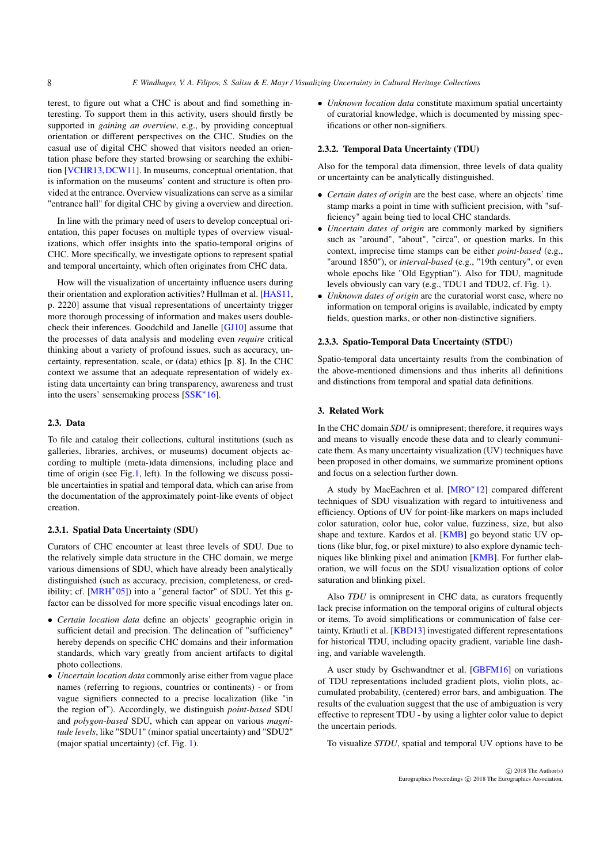<span id="page-1-0"></span>terest, to figure out what a CHC is about and find something interesting. To support them in this activity, users should firstly be supported in *gaining an overview*, e.g., by providing conceptual orientation or different perspectives on the CHC. Studies on the casual use of digital CHC showed that visitors needed an orientation phase before they started browsing or searching the exhibition [\[VCHR13,](#page-4-10)[DCW11\]](#page-4-1). In museums, conceptual orientation, that is information on the museums' content and structure is often provided at the entrance. Overview visualizations can serve as a similar "entrance hall" for digital CHC by giving a overview and direction.

In line with the primary need of users to develop conceptual orientation, this paper focuses on multiple types of overview visualizations, which offer insights into the spatio-temporal origins of CHC. More specifically, we investigate options to represent spatial and temporal uncertainty, which often originates from CHC data.

How will the visualization of uncertainty influence users during their orientation and exploration activities? Hullman et al. [\[HAS11,](#page-4-11) p. 2220] assume that visual representations of uncertainty trigger more thorough processing of information and makes users doublecheck their inferences. Goodchild and Janelle [\[GJ10\]](#page-4-12) assume that the processes of data analysis and modeling even *require* critical thinking about a variety of profound issues, such as accuracy, uncertainty, representation, scale, or (data) ethics [p. 8]. In the CHC context we assume that an adequate representation of widely existing data uncertainty can bring transparency, awareness and trust into the users' sensemaking process [\[SSK](#page-4-13)∗16].

# 2.3. Data

To file and catalog their collections, cultural institutions (such as galleries, libraries, archives, or museums) document objects according to multiple (meta-)data dimensions, including place and time of origin (see Fig[.1,](#page-2-0) left). In the following we discuss possible uncertainties in spatial and temporal data, which can arise from the documentation of the approximately point-like events of object creation.

#### 2.3.1. Spatial Data Uncertainty (SDU)

Curators of CHC encounter at least three levels of SDU. Due to the relatively simple data structure in the CHC domain, we merge various dimensions of SDU, which have already been analytically distinguished (such as accuracy, precision, completeness, or cred-ibility; cf. [\[MRH](#page-4-14)<sup>∗</sup>05]) into a "general factor" of SDU. Yet this gfactor can be dissolved for more specific visual encodings later on.

- *Certain location data* define an objects' geographic origin in sufficient detail and precision. The delineation of "sufficiency" hereby depends on specific CHC domains and their information standards, which vary greatly from ancient artifacts to digital photo collections.
- *Uncertain location data* commonly arise either from vague place names (referring to regions, countries or continents) - or from vague signifiers connected to a precise localization (like "in the region of"). Accordingly, we distinguish *point-based* SDU and *polygon-based* SDU, which can appear on various *magnitude levels*, like "SDU1" (minor spatial uncertainty) and "SDU2" (major spatial uncertainty) (cf. Fig. [1\)](#page-2-0).

• *Unknown location data* constitute maximum spatial uncertainty of curatorial knowledge, which is documented by missing specifications or other non-signifiers.

#### 2.3.2. Temporal Data Uncertainty (TDU)

Also for the temporal data dimension, three levels of data quality or uncertainty can be analytically distinguished.

- *Certain dates of origin* are the best case, where an objects' time stamp marks a point in time with sufficient precision, with "sufficiency" again being tied to local CHC standards.
- *Uncertain dates of origin* are commonly marked by signifiers such as "around", "about", "circa", or question marks. In this context, imprecise time stamps can be either *point-based* (e.g., "around 1850"), or *interval-based* (e.g., "19th century", or even whole epochs like "Old Egyptian"). Also for TDU, magnitude levels obviously can vary (e.g., TDU1 and TDU2, cf. Fig. [1\)](#page-2-0).
- *Unknown dates of origin* are the curatorial worst case, where no information on temporal origins is available, indicated by empty fields, question marks, or other non-distinctive signifiers.

# 2.3.3. Spatio-Temporal Data Uncertainty (STDU)

Spatio-temporal data uncertainty results from the combination of the above-mentioned dimensions and thus inherits all definitions and distinctions from temporal and spatial data definitions.

# 3. Related Work

In the CHC domain *SDU* is omnipresent; therefore, it requires ways and means to visually encode these data and to clearly communicate them. As many uncertainty visualization (UV) techniques have been proposed in other domains, we summarize prominent options and focus on a selection further down.

A study by MacEachren et al. [\[MRO](#page-4-15)∗12] compared different techniques of SDU visualization with regard to intuitiveness and efficiency. Options of UV for point-like markers on maps included color saturation, color hue, color value, fuzziness, size, but also shape and texture. Kardos et al. [\[KMB\]](#page-4-16) go beyond static UV options (like blur, fog, or pixel mixture) to also explore dynamic techniques like blinking pixel and animation [\[KMB\]](#page-4-16). For further elaboration, we will focus on the SDU visualization options of color saturation and blinking pixel.

Also *TDU* is omnipresent in CHC data, as curators frequently lack precise information on the temporal origins of cultural objects or items. To avoid simplifications or communication of false certainty, Kräutli et al. [\[KBD13\]](#page-4-2) investigated different representations for historical TDU, including opacity gradient, variable line dashing, and variable wavelength.

A user study by Gschwandtner et al. [\[GBFM16\]](#page-4-17) on variations of TDU representations included gradient plots, violin plots, accumulated probability, (centered) error bars, and ambiguation. The results of the evaluation suggest that the use of ambiguation is very effective to represent TDU - by using a lighter color value to depict the uncertain periods.

To visualize *STDU*, spatial and temporal UV options have to be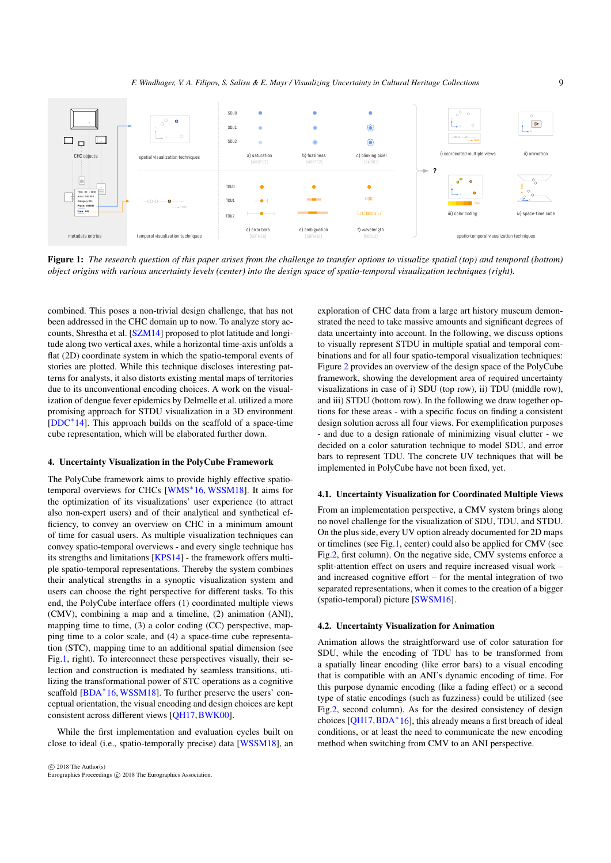<span id="page-2-1"></span>

<span id="page-2-0"></span>Figure 1: *The research question of this paper arises from the challenge to transfer options to visualize spatial (top) and temporal (bottom) object origins with various uncertainty levels (center) into the design space of spatio-temporal visualization techniques (right).*

combined. This poses a non-trivial design challenge, that has not been addressed in the CHC domain up to now. To analyze story accounts, Shrestha et al. [\[SZM14\]](#page-4-18) proposed to plot latitude and longitude along two vertical axes, while a horizontal time-axis unfolds a flat (2D) coordinate system in which the spatio-temporal events of stories are plotted. While this technique discloses interesting patterns for analysts, it also distorts existing mental maps of territories due to its unconventional encoding choices. A work on the visualization of dengue fever epidemics by Delmelle et al. utilized a more promising approach for STDU visualization in a 3D environment [\[DDC](#page-4-19)∗14]. This approach builds on the scaffold of a space-time cube representation, which will be elaborated further down.

#### 4. Uncertainty Visualization in the PolyCube Framework

The PolyCube framework aims to provide highly effective spatio-temporal overviews for CHCs [\[WMS](#page-4-5)<sup>∗</sup>16, [WSSM18\]](#page-4-6). It aims for the optimization of its visualizations' user experience (to attract also non-expert users) and of their analytical and synthetical efficiency, to convey an overview on CHC in a minimum amount of time for casual users. As multiple visualization techniques can convey spatio-temporal overviews - and every single technique has its strengths and limitations [\[KPS14\]](#page-4-20) - the framework offers multiple spatio-temporal representations. Thereby the system combines their analytical strengths in a synoptic visualization system and users can choose the right perspective for different tasks. To this end, the PolyCube interface offers (1) coordinated multiple views (CMV), combining a map and a timeline, (2) animation (ANI), mapping time to time, (3) a color coding (CC) perspective, mapping time to a color scale, and (4) a space-time cube representation (STC), mapping time to an additional spatial dimension (see Fig[.1,](#page-2-0) right). To interconnect these perspectives visually, their selection and construction is mediated by seamless transitions, utilizing the transformational power of STC operations as a cognitive scaffold [\[BDA](#page-4-21)<sup>\*</sup>16, [WSSM18\]](#page-4-6). To further preserve the users' conceptual orientation, the visual encoding and design choices are kept consistent across different views [\[QH17,](#page-4-22)[BWK00\]](#page-4-23).

While the first implementation and evaluation cycles built on close to ideal (i.e., spatio-temporally precise) data [\[WSSM18\]](#page-4-6), an

exploration of CHC data from a large art history museum demonstrated the need to take massive amounts and significant degrees of data uncertainty into account. In the following, we discuss options to visually represent STDU in multiple spatial and temporal combinations and for all four spatio-temporal visualization techniques: Figure [2](#page-3-0) provides an overview of the design space of the PolyCube framework, showing the development area of required uncertainty visualizations in case of i) SDU (top row), ii) TDU (middle row), and iii) STDU (bottom row). In the following we draw together options for these areas - with a specific focus on finding a consistent design solution across all four views. For exemplification purposes - and due to a design rationale of minimizing visual clutter - we decided on a color saturation technique to model SDU, and error bars to represent TDU. The concrete UV techniques that will be implemented in PolyCube have not been fixed, yet.

### 4.1. Uncertainty Visualization for Coordinated Multiple Views

From an implementation perspective, a CMV system brings along no novel challenge for the visualization of SDU, TDU, and STDU. On the plus side, every UV option already documented for 2D maps or timelines (see Fig[.1,](#page-2-0) center) could also be applied for CMV (see Fig[.2,](#page-3-0) first column). On the negative side, CMV systems enforce a split-attention effect on users and require increased visual work – and increased cognitive effort – for the mental integration of two separated representations, when it comes to the creation of a bigger (spatio-temporal) picture [\[SWSM16\]](#page-4-24).

## 4.2. Uncertainty Visualization for Animation

Animation allows the straightforward use of color saturation for SDU, while the encoding of TDU has to be transformed from a spatially linear encoding (like error bars) to a visual encoding that is compatible with an ANI's dynamic encoding of time. For this purpose dynamic encoding (like a fading effect) or a second type of static encodings (such as fuzziness) could be utilized (see Fig[.2,](#page-3-0) second column). As for the desired consistency of design choices [\[QH17](#page-4-22)[,BDA](#page-4-21)∗16], this already means a first breach of ideal conditions, or at least the need to communicate the new encoding method when switching from CMV to an ANI perspective.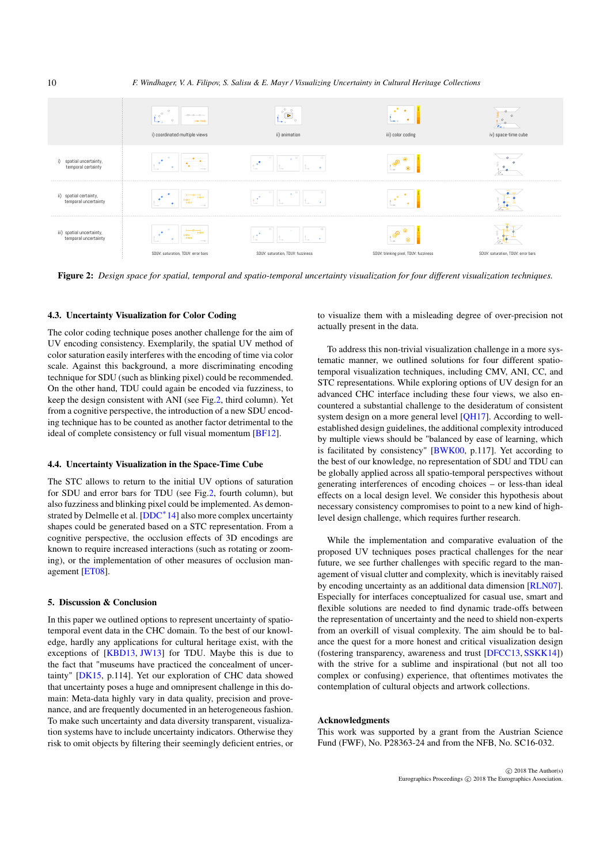*F. Windhager, V. A. Filipov, S. Salisu & E. Mayr / Visualizing Uncertainty in Cultural Heritage Collections*



<span id="page-3-0"></span>Figure 2: *Design space for spatial, temporal and spatio-temporal uncertainty visualization for four different visualization techniques.*

## 4.3. Uncertainty Visualization for Color Coding

The color coding technique poses another challenge for the aim of UV encoding consistency. Exemplarily, the spatial UV method of color saturation easily interferes with the encoding of time via color scale. Against this background, a more discriminating encoding technique for SDU (such as blinking pixel) could be recommended. On the other hand, TDU could again be encoded via fuzziness, to keep the design consistent with ANI (see Fig[.2,](#page-3-0) third column). Yet from a cognitive perspective, the introduction of a new SDU encoding technique has to be counted as another factor detrimental to the ideal of complete consistency or full visual momentum [\[BF12\]](#page-4-25).

# 4.4. Uncertainty Visualization in the Space-Time Cube

The STC allows to return to the initial UV options of saturation for SDU and error bars for TDU (see Fig[.2,](#page-3-0) fourth column), but also fuzziness and blinking pixel could be implemented. As demon-strated by Delmelle et al. [\[DDC](#page-4-19)<sup>\*</sup>14] also more complex uncertainty shapes could be generated based on a STC representation. From a cognitive perspective, the occlusion effects of 3D encodings are known to require increased interactions (such as rotating or zooming), or the implementation of other measures of occlusion management [\[ET08\]](#page-4-26).

## 5. Discussion & Conclusion

In this paper we outlined options to represent uncertainty of spatiotemporal event data in the CHC domain. To the best of our knowledge, hardly any applications for cultural heritage exist, with the exceptions of [\[KBD13,](#page-4-2) [JW13\]](#page-4-27) for TDU. Maybe this is due to the fact that "museums have practiced the concealment of uncertainty" [\[DK15,](#page-4-28) p.114]. Yet our exploration of CHC data showed that uncertainty poses a huge and omnipresent challenge in this domain: Meta-data highly vary in data quality, precision and provenance, and are frequently documented in an heterogeneous fashion. To make such uncertainty and data diversity transparent, visualization systems have to include uncertainty indicators. Otherwise they risk to omit objects by filtering their seemingly deficient entries, or

to visualize them with a misleading degree of over-precision not actually present in the data.

To address this non-trivial visualization challenge in a more systematic manner, we outlined solutions for four different spatiotemporal visualization techniques, including CMV, ANI, CC, and STC representations. While exploring options of UV design for an advanced CHC interface including these four views, we also encountered a substantial challenge to the desideratum of consistent system design on a more general level [\[QH17\]](#page-4-22). According to wellestablished design guidelines, the additional complexity introduced by multiple views should be "balanced by ease of learning, which is facilitated by consistency" [\[BWK00,](#page-4-23) p.117]. Yet according to the best of our knowledge, no representation of SDU and TDU can be globally applied across all spatio-temporal perspectives without generating interferences of encoding choices – or less-than ideal effects on a local design level. We consider this hypothesis about necessary consistency compromises to point to a new kind of highlevel design challenge, which requires further research.

While the implementation and comparative evaluation of the proposed UV techniques poses practical challenges for the near future, we see further challenges with specific regard to the management of visual clutter and complexity, which is inevitably raised by encoding uncertainty as an additional data dimension [\[RLN07\]](#page-4-29). Especially for interfaces conceptualized for casual use, smart and flexible solutions are needed to find dynamic trade-offs between the representation of uncertainty and the need to shield non-experts from an overkill of visual complexity. The aim should be to balance the quest for a more honest and critical visualization design (fostering transparency, awareness and trust [\[DFCC13,](#page-4-30) [SSKK14\]](#page-4-31)) with the strive for a sublime and inspirational (but not all too complex or confusing) experience, that oftentimes motivates the contemplation of cultural objects and artwork collections.

# Acknowledgments

This work was supported by a grant from the Austrian Science Fund (FWF), No. P28363-24 and from the NFB, No. SC16-032.

<span id="page-3-1"></span>10